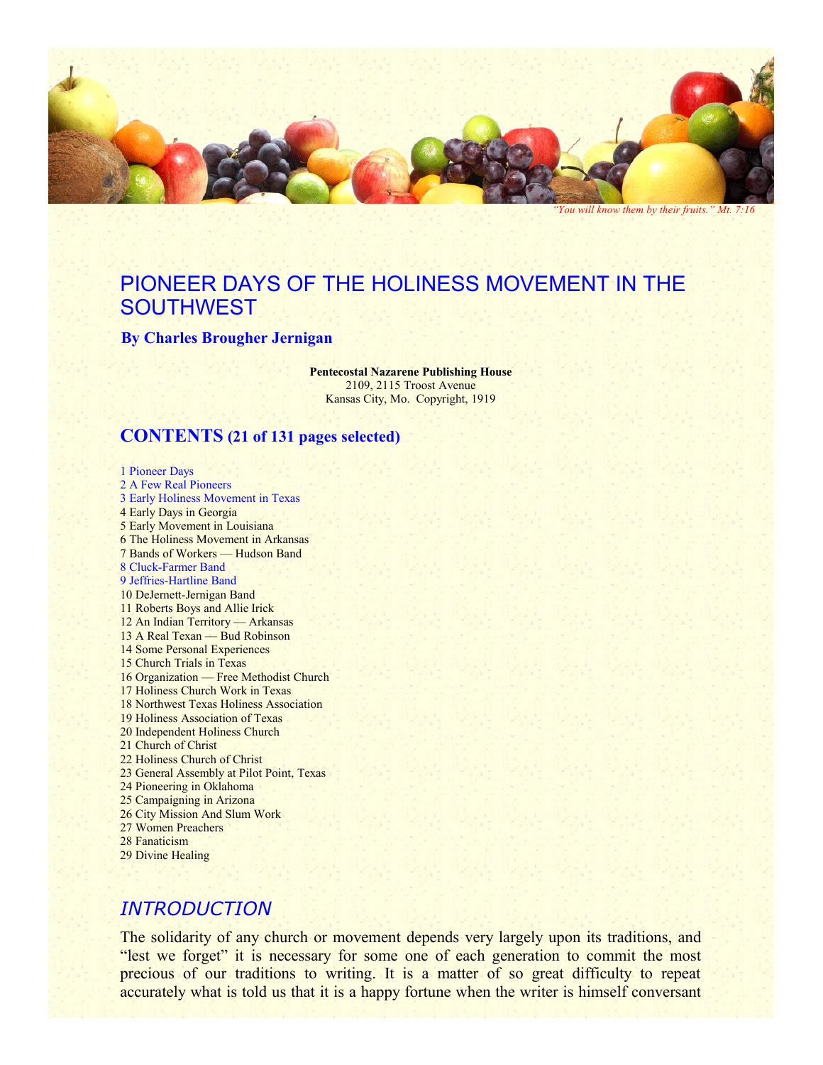

*"You will know them by their fruits." Mt. 7:16*

# PIONEER DAYS OF THE HOLINESS MOVEMENT IN THE **SOUTHWEST**

 **By Charles Brougher Jernigan**

**Pentecostal Nazarene Publishing House** 2109, 2115 Troost Avenue Kansas City, Mo. Copyright, 1919

## **CONTENTS (21 of 131 pages selected)**

1 Pioneer Days 2 A Few Real Pioneers 3 Early Holiness Movement in Texas 4 Early Days in Georgia 5 Early Movement in Louisiana 6 The Holiness Movement in Arkansas 7 Bands of Workers — Hudson Band 8 Cluck-Farmer Band 9 Jeffries-Hartline Band 10 DeJernett-Jernigan Band 11 Roberts Boys and Allie Irick 12 An Indian Territory — Arkansas 13 A Real Texan — Bud Robinson 14 Some Personal Experiences 15 Church Trials in Texas 16 Organization — Free Methodist Church 17 Holiness Church Work in Texas 18 Northwest Texas Holiness Association 19 Holiness Association of Texas 20 Independent Holiness Church 21 Church of Christ 22 Holiness Church of Christ 23 General Assembly at Pilot Point, Texas 24 Pioneering in Oklahoma 25 Campaigning in Arizona 26 City Mission And Slum Work 27 Women Preachers 28 Fanaticism 29 Divine Healing

## *INTRODUCTION*

The solidarity of any church or movement depends very largely upon its traditions, and "lest we forget" it is necessary for some one of each generation to commit the most precious of our traditions to writing. It is a matter of so great difficulty to repeat accurately what is told us that it is a happy fortune when the writer is himself conversant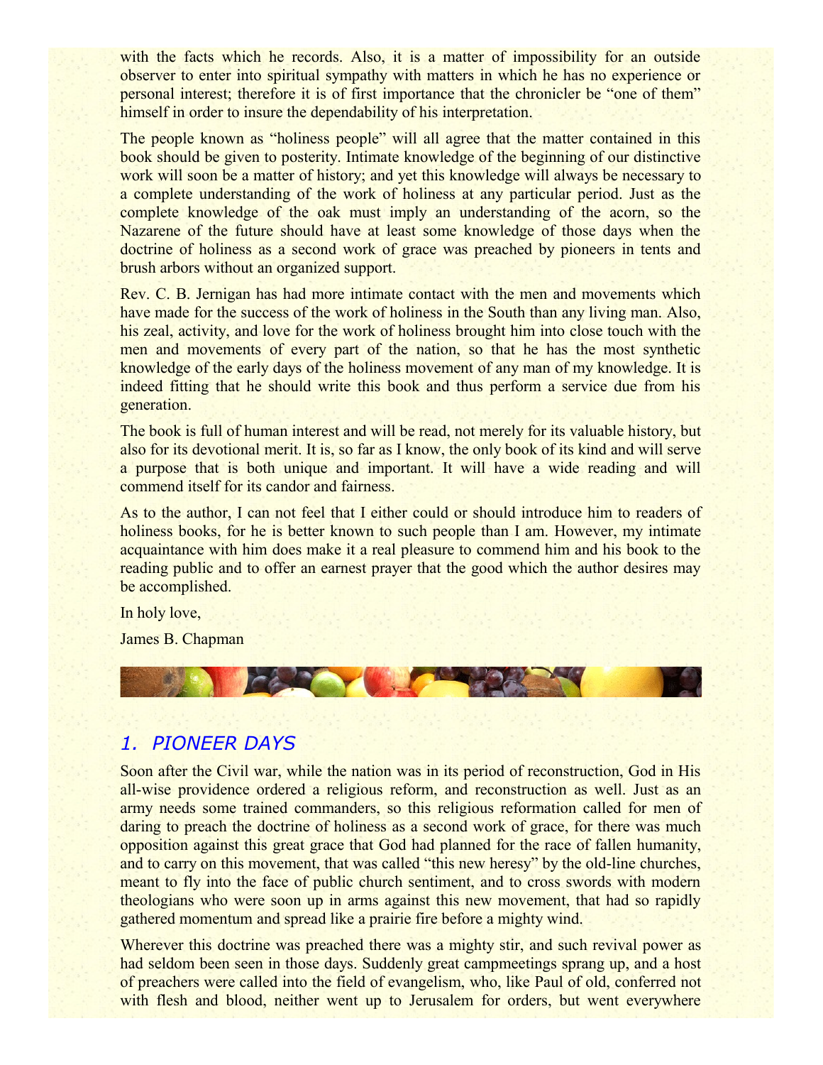with the facts which he records. Also, it is a matter of impossibility for an outside observer to enter into spiritual sympathy with matters in which he has no experience or personal interest; therefore it is of first importance that the chronicler be "one of them" himself in order to insure the dependability of his interpretation.

The people known as "holiness people" will all agree that the matter contained in this book should be given to posterity. Intimate knowledge of the beginning of our distinctive work will soon be a matter of history; and yet this knowledge will always be necessary to a complete understanding of the work of holiness at any particular period. Just as the complete knowledge of the oak must imply an understanding of the acorn, so the Nazarene of the future should have at least some knowledge of those days when the doctrine of holiness as a second work of grace was preached by pioneers in tents and brush arbors without an organized support.

Rev. C. B. Jernigan has had more intimate contact with the men and movements which have made for the success of the work of holiness in the South than any living man. Also, his zeal, activity, and love for the work of holiness brought him into close touch with the men and movements of every part of the nation, so that he has the most synthetic knowledge of the early days of the holiness movement of any man of my knowledge. It is indeed fitting that he should write this book and thus perform a service due from his generation.

The book is full of human interest and will be read, not merely for its valuable history, but also for its devotional merit. It is, so far as I know, the only book of its kind and will serve a purpose that is both unique and important. It will have a wide reading and will commend itself for its candor and fairness.

As to the author, I can not feel that I either could or should introduce him to readers of holiness books, for he is better known to such people than I am. However, my intimate acquaintance with him does make it a real pleasure to commend him and his book to the reading public and to offer an earnest prayer that the good which the author desires may be accomplished.

In holy love,

James B. Chapman



## *1. PIONEER DAYS*

Soon after the Civil war, while the nation was in its period of reconstruction, God in His all-wise providence ordered a religious reform, and reconstruction as well. Just as an army needs some trained commanders, so this religious reformation called for men of daring to preach the doctrine of holiness as a second work of grace, for there was much opposition against this great grace that God had planned for the race of fallen humanity, and to carry on this movement, that was called "this new heresy" by the old-line churches, meant to fly into the face of public church sentiment, and to cross swords with modern theologians who were soon up in arms against this new movement, that had so rapidly gathered momentum and spread like a prairie fire before a mighty wind.

Wherever this doctrine was preached there was a mighty stir, and such revival power as had seldom been seen in those days. Suddenly great campmeetings sprang up, and a host of preachers were called into the field of evangelism, who, like Paul of old, conferred not with flesh and blood, neither went up to Jerusalem for orders, but went everywhere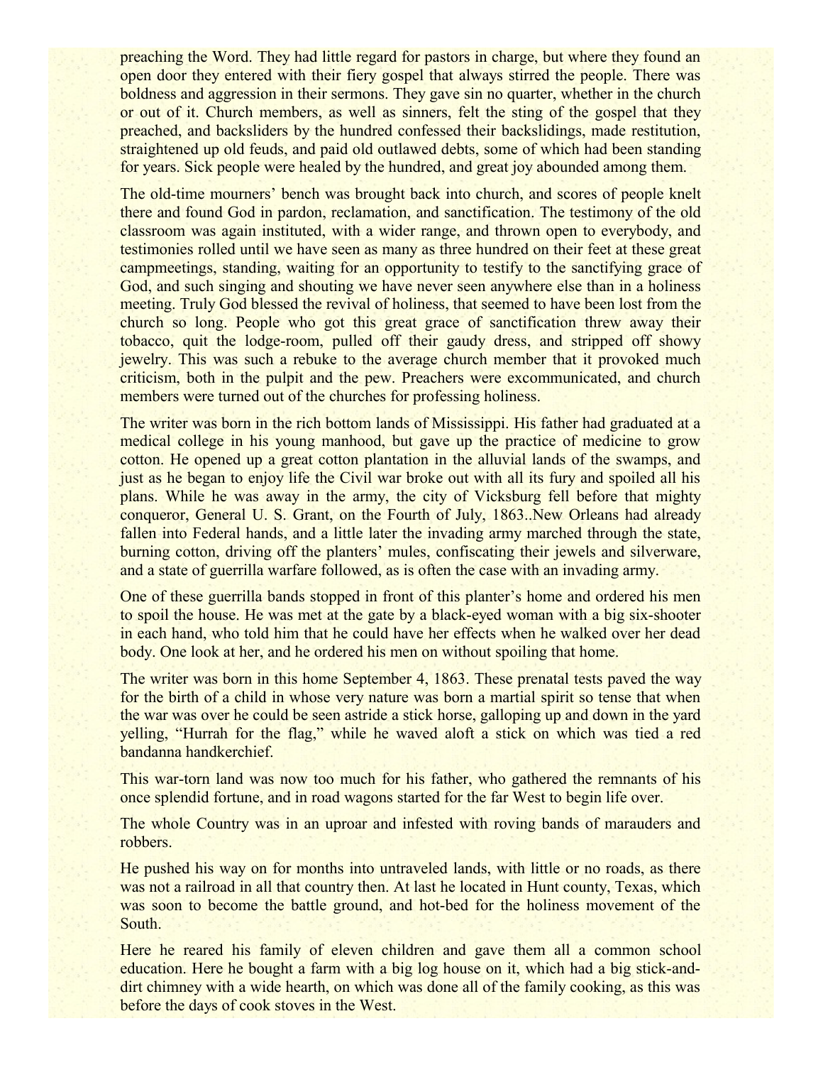preaching the Word. They had little regard for pastors in charge, but where they found an open door they entered with their fiery gospel that always stirred the people. There was boldness and aggression in their sermons. They gave sin no quarter, whether in the church or out of it. Church members, as well as sinners, felt the sting of the gospel that they preached, and backsliders by the hundred confessed their backslidings, made restitution, straightened up old feuds, and paid old outlawed debts, some of which had been standing for years. Sick people were healed by the hundred, and great joy abounded among them.

The old-time mourners' bench was brought back into church, and scores of people knelt there and found God in pardon, reclamation, and sanctification. The testimony of the old classroom was again instituted, with a wider range, and thrown open to everybody, and testimonies rolled until we have seen as many as three hundred on their feet at these great campmeetings, standing, waiting for an opportunity to testify to the sanctifying grace of God, and such singing and shouting we have never seen anywhere else than in a holiness meeting. Truly God blessed the revival of holiness, that seemed to have been lost from the church so long. People who got this great grace of sanctification threw away their tobacco, quit the lodge-room, pulled off their gaudy dress, and stripped off showy jewelry. This was such a rebuke to the average church member that it provoked much criticism, both in the pulpit and the pew. Preachers were excommunicated, and church members were turned out of the churches for professing holiness.

The writer was born in the rich bottom lands of Mississippi. His father had graduated at a medical college in his young manhood, but gave up the practice of medicine to grow cotton. He opened up a great cotton plantation in the alluvial lands of the swamps, and just as he began to enjoy life the Civil war broke out with all its fury and spoiled all his plans. While he was away in the army, the city of Vicksburg fell before that mighty conqueror, General U. S. Grant, on the Fourth of July, 1863..New Orleans had already fallen into Federal hands, and a little later the invading army marched through the state, burning cotton, driving off the planters' mules, confiscating their jewels and silverware, and a state of guerrilla warfare followed, as is often the case with an invading army.

One of these guerrilla bands stopped in front of this planter's home and ordered his men to spoil the house. He was met at the gate by a black-eyed woman with a big six-shooter in each hand, who told him that he could have her effects when he walked over her dead body. One look at her, and he ordered his men on without spoiling that home.

The writer was born in this home September 4, 1863. These prenatal tests paved the way for the birth of a child in whose very nature was born a martial spirit so tense that when the war was over he could be seen astride a stick horse, galloping up and down in the yard yelling, "Hurrah for the flag," while he waved aloft a stick on which was tied a red bandanna handkerchief.

This war-torn land was now too much for his father, who gathered the remnants of his once splendid fortune, and in road wagons started for the far West to begin life over.

The whole Country was in an uproar and infested with roving bands of marauders and robbers.

He pushed his way on for months into untraveled lands, with little or no roads, as there was not a railroad in all that country then. At last he located in Hunt county, Texas, which was soon to become the battle ground, and hot-bed for the holiness movement of the South.

Here he reared his family of eleven children and gave them all a common school education. Here he bought a farm with a big log house on it, which had a big stick-anddirt chimney with a wide hearth, on which was done all of the family cooking, as this was before the days of cook stoves in the West.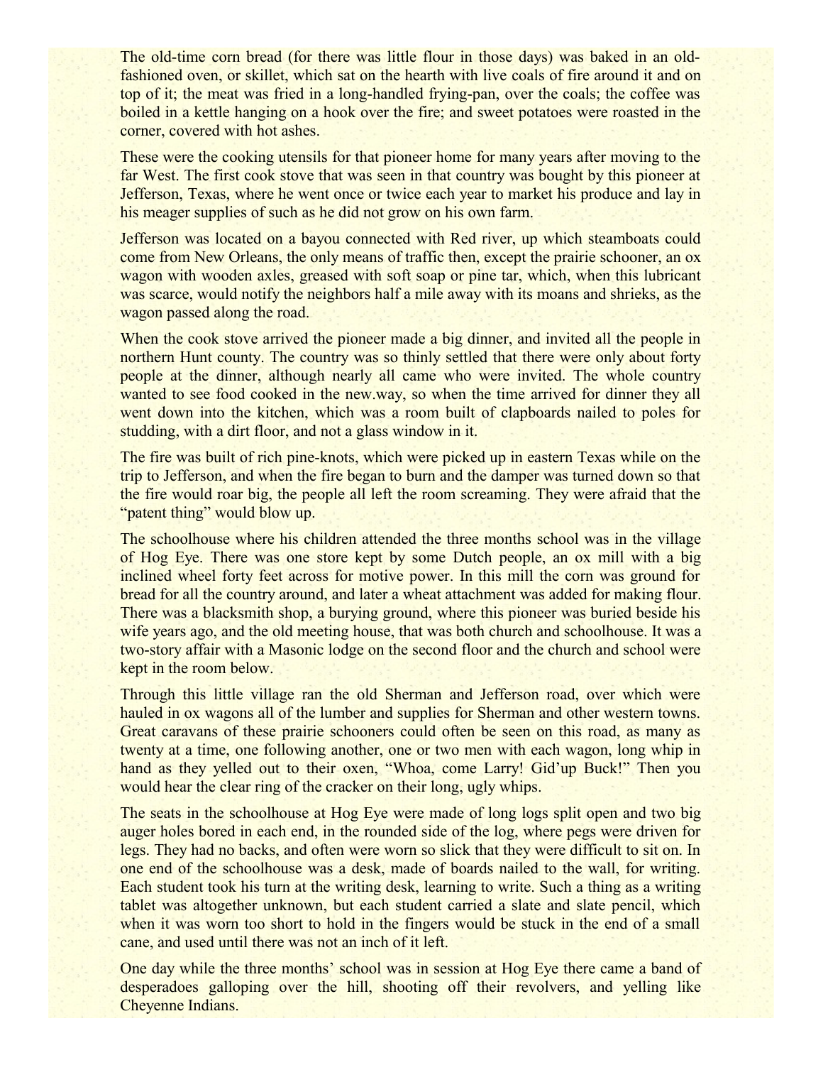The old-time corn bread (for there was little flour in those days) was baked in an oldfashioned oven, or skillet, which sat on the hearth with live coals of fire around it and on top of it; the meat was fried in a long-handled frying-pan, over the coals; the coffee was boiled in a kettle hanging on a hook over the fire; and sweet potatoes were roasted in the corner, covered with hot ashes.

These were the cooking utensils for that pioneer home for many years after moving to the far West. The first cook stove that was seen in that country was bought by this pioneer at Jefferson, Texas, where he went once or twice each year to market his produce and lay in his meager supplies of such as he did not grow on his own farm.

Jefferson was located on a bayou connected with Red river, up which steamboats could come from New Orleans, the only means of traffic then, except the prairie schooner, an ox wagon with wooden axles, greased with soft soap or pine tar, which, when this lubricant was scarce, would notify the neighbors half a mile away with its moans and shrieks, as the wagon passed along the road.

When the cook stove arrived the pioneer made a big dinner, and invited all the people in northern Hunt county. The country was so thinly settled that there were only about forty people at the dinner, although nearly all came who were invited. The whole country wanted to see food cooked in the new.way, so when the time arrived for dinner they all went down into the kitchen, which was a room built of clapboards nailed to poles for studding, with a dirt floor, and not a glass window in it.

The fire was built of rich pine-knots, which were picked up in eastern Texas while on the trip to Jefferson, and when the fire began to burn and the damper was turned down so that the fire would roar big, the people all left the room screaming. They were afraid that the "patent thing" would blow up.

The schoolhouse where his children attended the three months school was in the village of Hog Eye. There was one store kept by some Dutch people, an ox mill with a big inclined wheel forty feet across for motive power. In this mill the corn was ground for bread for all the country around, and later a wheat attachment was added for making flour. There was a blacksmith shop, a burying ground, where this pioneer was buried beside his wife years ago, and the old meeting house, that was both church and schoolhouse. It was a two-story affair with a Masonic lodge on the second floor and the church and school were kept in the room below.

Through this little village ran the old Sherman and Jefferson road, over which were hauled in ox wagons all of the lumber and supplies for Sherman and other western towns. Great caravans of these prairie schooners could often be seen on this road, as many as twenty at a time, one following another, one or two men with each wagon, long whip in hand as they yelled out to their oxen, "Whoa, come Larry! Gid'up Buck!" Then you would hear the clear ring of the cracker on their long, ugly whips.

The seats in the schoolhouse at Hog Eye were made of long logs split open and two big auger holes bored in each end, in the rounded side of the log, where pegs were driven for legs. They had no backs, and often were worn so slick that they were difficult to sit on. In one end of the schoolhouse was a desk, made of boards nailed to the wall, for writing. Each student took his turn at the writing desk, learning to write. Such a thing as a writing tablet was altogether unknown, but each student carried a slate and slate pencil, which when it was worn too short to hold in the fingers would be stuck in the end of a small cane, and used until there was not an inch of it left.

One day while the three months' school was in session at Hog Eye there came a band of desperadoes galloping over the hill, shooting off their revolvers, and yelling like Cheyenne Indians.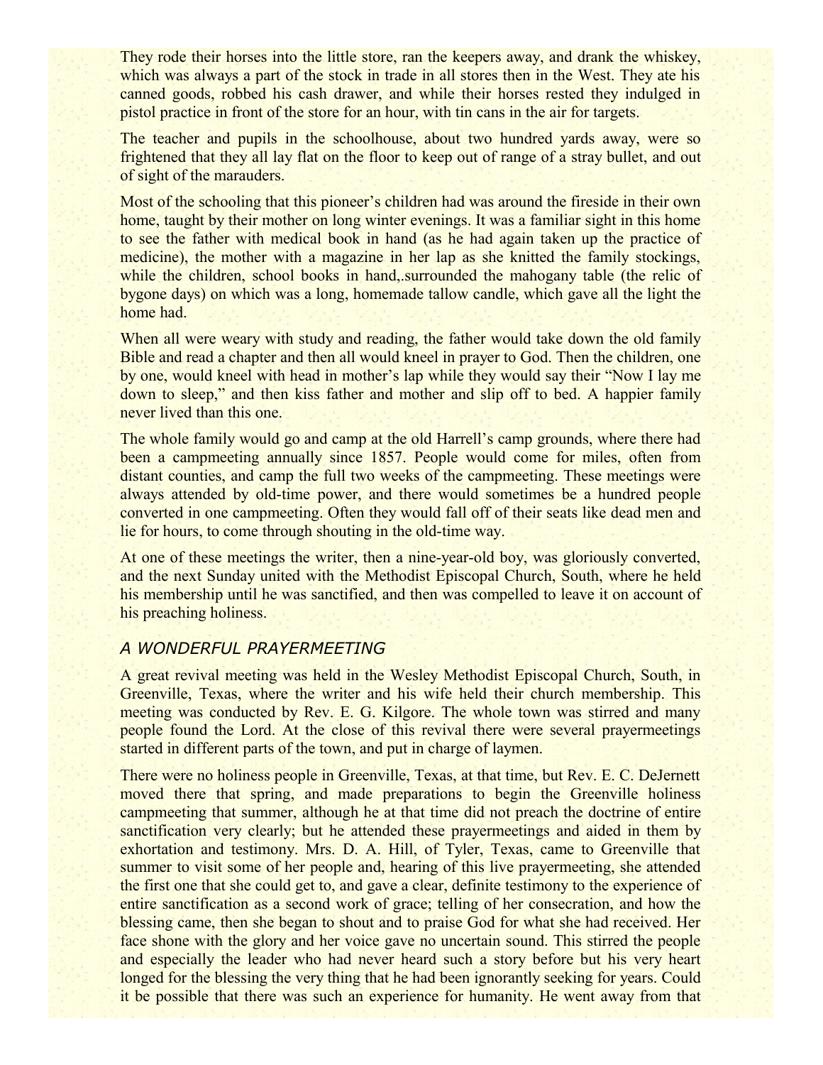They rode their horses into the little store, ran the keepers away, and drank the whiskey, which was always a part of the stock in trade in all stores then in the West. They ate his canned goods, robbed his cash drawer, and while their horses rested they indulged in pistol practice in front of the store for an hour, with tin cans in the air for targets.

The teacher and pupils in the schoolhouse, about two hundred yards away, were so frightened that they all lay flat on the floor to keep out of range of a stray bullet, and out of sight of the marauders.

Most of the schooling that this pioneer's children had was around the fireside in their own home, taught by their mother on long winter evenings. It was a familiar sight in this home to see the father with medical book in hand (as he had again taken up the practice of medicine), the mother with a magazine in her lap as she knitted the family stockings, while the children, school books in hand, surrounded the mahogany table (the relic of bygone days) on which was a long, homemade tallow candle, which gave all the light the home had.

When all were weary with study and reading, the father would take down the old family Bible and read a chapter and then all would kneel in prayer to God. Then the children, one by one, would kneel with head in mother's lap while they would say their "Now I lay me down to sleep," and then kiss father and mother and slip off to bed. A happier family never lived than this one.

The whole family would go and camp at the old Harrell's camp grounds, where there had been a campmeeting annually since 1857. People would come for miles, often from distant counties, and camp the full two weeks of the campmeeting. These meetings were always attended by old-time power, and there would sometimes be a hundred people converted in one campmeeting. Often they would fall off of their seats like dead men and lie for hours, to come through shouting in the old-time way.

At one of these meetings the writer, then a nine-year-old boy, was gloriously converted, and the next Sunday united with the Methodist Episcopal Church, South, where he held his membership until he was sanctified, and then was compelled to leave it on account of his preaching holiness.

### *A WONDERFUL PRAYERMEETING*

A great revival meeting was held in the Wesley Methodist Episcopal Church, South, in Greenville, Texas, where the writer and his wife held their church membership. This meeting was conducted by Rev. E. G. Kilgore. The whole town was stirred and many people found the Lord. At the close of this revival there were several prayermeetings started in different parts of the town, and put in charge of laymen.

There were no holiness people in Greenville, Texas, at that time, but Rev. E. C. DeJernett moved there that spring, and made preparations to begin the Greenville holiness campmeeting that summer, although he at that time did not preach the doctrine of entire sanctification very clearly; but he attended these prayermeetings and aided in them by exhortation and testimony. Mrs. D. A. Hill, of Tyler, Texas, came to Greenville that summer to visit some of her people and, hearing of this live prayermeeting, she attended the first one that she could get to, and gave a clear, definite testimony to the experience of entire sanctification as a second work of grace; telling of her consecration, and how the blessing came, then she began to shout and to praise God for what she had received. Her face shone with the glory and her voice gave no uncertain sound. This stirred the people and especially the leader who had never heard such a story before but his very heart longed for the blessing the very thing that he had been ignorantly seeking for years. Could it be possible that there was such an experience for humanity. He went away from that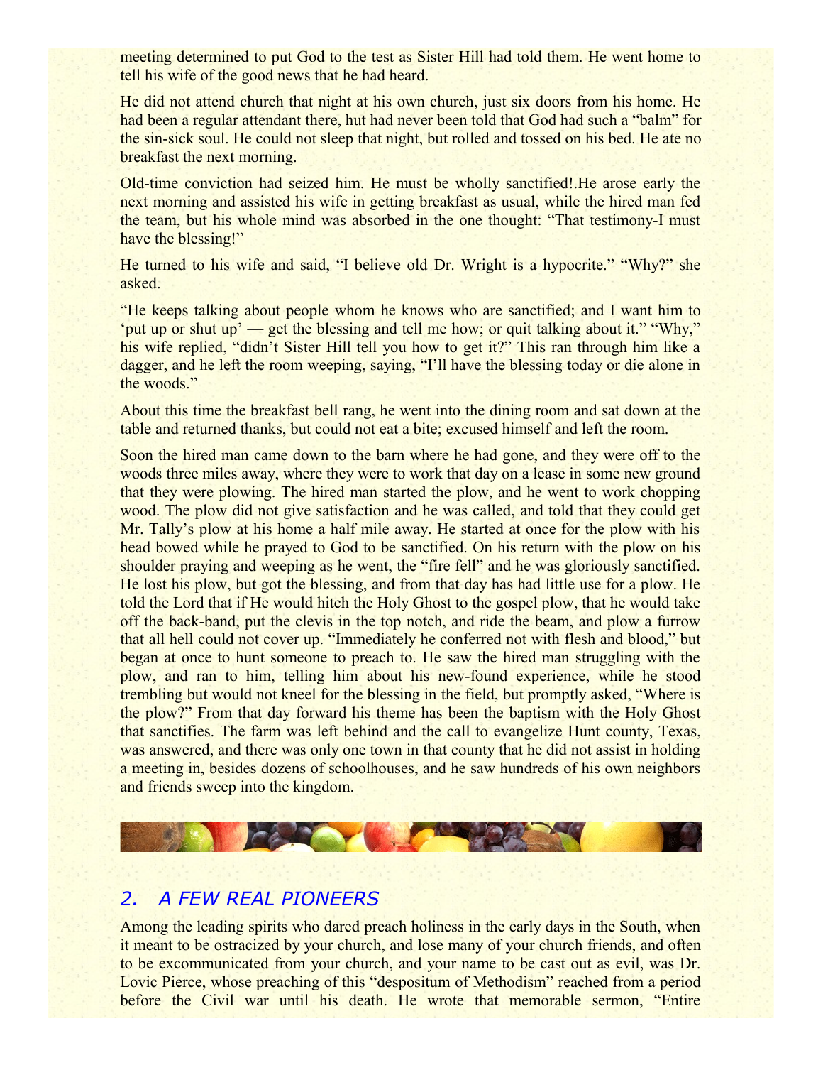meeting determined to put God to the test as Sister Hill had told them. He went home to tell his wife of the good news that he had heard.

He did not attend church that night at his own church, just six doors from his home. He had been a regular attendant there, hut had never been told that God had such a "balm" for the sin-sick soul. He could not sleep that night, but rolled and tossed on his bed. He ate no breakfast the next morning.

Old-time conviction had seized him. He must be wholly sanctified!.He arose early the next morning and assisted his wife in getting breakfast as usual, while the hired man fed the team, but his whole mind was absorbed in the one thought: "That testimony-I must have the blessing!"

He turned to his wife and said, "I believe old Dr. Wright is a hypocrite." "Why?" she asked.

"He keeps talking about people whom he knows who are sanctified; and I want him to 'put up or shut up' — get the blessing and tell me how; or quit talking about it." "Why," his wife replied, "didn't Sister Hill tell you how to get it?" This ran through him like a dagger, and he left the room weeping, saying, "I'll have the blessing today or die alone in the woods."

About this time the breakfast bell rang, he went into the dining room and sat down at the table and returned thanks, but could not eat a bite; excused himself and left the room.

Soon the hired man came down to the barn where he had gone, and they were off to the woods three miles away, where they were to work that day on a lease in some new ground that they were plowing. The hired man started the plow, and he went to work chopping wood. The plow did not give satisfaction and he was called, and told that they could get Mr. Tally's plow at his home a half mile away. He started at once for the plow with his head bowed while he prayed to God to be sanctified. On his return with the plow on his shoulder praying and weeping as he went, the "fire fell" and he was gloriously sanctified. He lost his plow, but got the blessing, and from that day has had little use for a plow. He told the Lord that if He would hitch the Holy Ghost to the gospel plow, that he would take off the back-band, put the clevis in the top notch, and ride the beam, and plow a furrow that all hell could not cover up. "Immediately he conferred not with flesh and blood," but began at once to hunt someone to preach to. He saw the hired man struggling with the plow, and ran to him, telling him about his new-found experience, while he stood trembling but would not kneel for the blessing in the field, but promptly asked, "Where is the plow?" From that day forward his theme has been the baptism with the Holy Ghost that sanctifies. The farm was left behind and the call to evangelize Hunt county, Texas, was answered, and there was only one town in that county that he did not assist in holding a meeting in, besides dozens of schoolhouses, and he saw hundreds of his own neighbors and friends sweep into the kingdom.

## *2. A FEW REAL PIONEERS*

CAR THE

Among the leading spirits who dared preach holiness in the early days in the South, when it meant to be ostracized by your church, and lose many of your church friends, and often to be excommunicated from your church, and your name to be cast out as evil, was Dr. Lovic Pierce, whose preaching of this "despositum of Methodism" reached from a period before the Civil war until his death. He wrote that memorable sermon, "Entire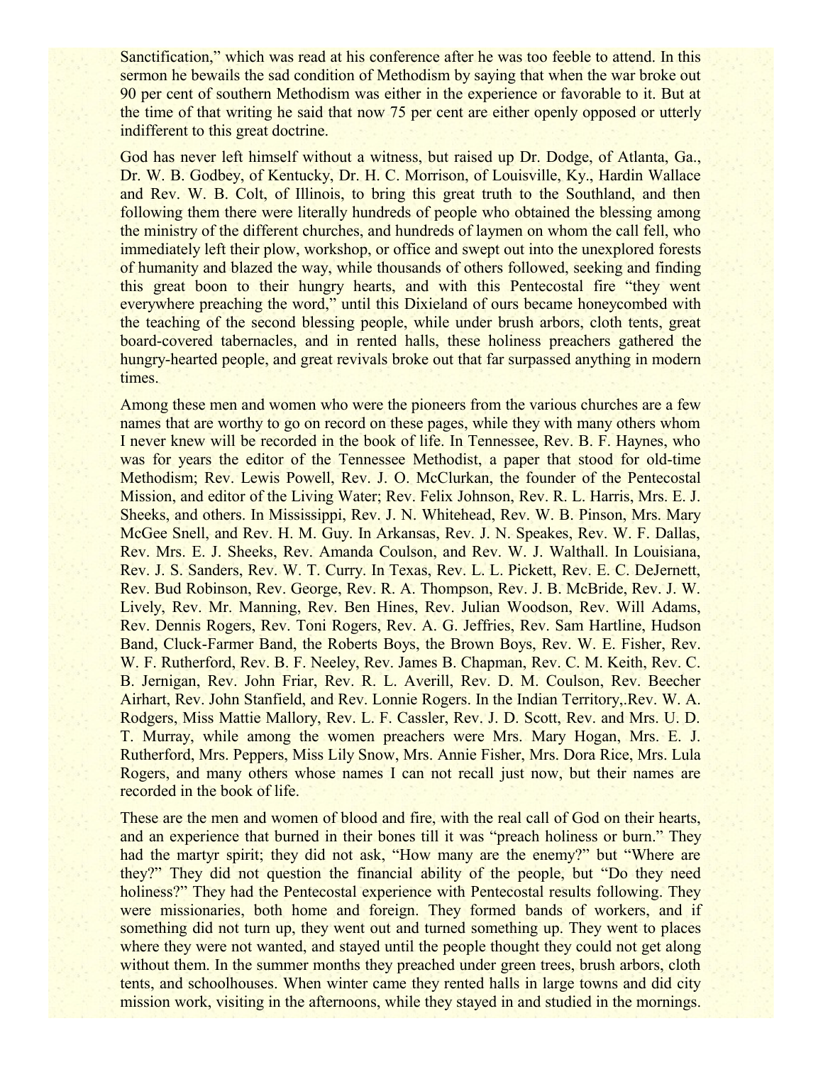Sanctification," which was read at his conference after he was too feeble to attend. In this sermon he bewails the sad condition of Methodism by saying that when the war broke out 90 per cent of southern Methodism was either in the experience or favorable to it. But at the time of that writing he said that now 75 per cent are either openly opposed or utterly indifferent to this great doctrine.

God has never left himself without a witness, but raised up Dr. Dodge, of Atlanta, Ga., Dr. W. B. Godbey, of Kentucky, Dr. H. C. Morrison, of Louisville, Ky., Hardin Wallace and Rev. W. B. Colt, of Illinois, to bring this great truth to the Southland, and then following them there were literally hundreds of people who obtained the blessing among the ministry of the different churches, and hundreds of laymen on whom the call fell, who immediately left their plow, workshop, or office and swept out into the unexplored forests of humanity and blazed the way, while thousands of others followed, seeking and finding this great boon to their hungry hearts, and with this Pentecostal fire "they went everywhere preaching the word," until this Dixieland of ours became honeycombed with the teaching of the second blessing people, while under brush arbors, cloth tents, great board-covered tabernacles, and in rented halls, these holiness preachers gathered the hungry-hearted people, and great revivals broke out that far surpassed anything in modern times.

Among these men and women who were the pioneers from the various churches are a few names that are worthy to go on record on these pages, while they with many others whom I never knew will be recorded in the book of life. In Tennessee, Rev. B. F. Haynes, who was for years the editor of the Tennessee Methodist, a paper that stood for old-time Methodism; Rev. Lewis Powell, Rev. J. O. McClurkan, the founder of the Pentecostal Mission, and editor of the Living Water; Rev. Felix Johnson, Rev. R. L. Harris, Mrs. E. J. Sheeks, and others. In Mississippi, Rev. J. N. Whitehead, Rev. W. B. Pinson, Mrs. Mary McGee Snell, and Rev. H. M. Guy. In Arkansas, Rev. J. N. Speakes, Rev. W. F. Dallas, Rev. Mrs. E. J. Sheeks, Rev. Amanda Coulson, and Rev. W. J. Walthall. In Louisiana, Rev. J. S. Sanders, Rev. W. T. Curry. In Texas, Rev. L. L. Pickett, Rev. E. C. DeJernett, Rev. Bud Robinson, Rev. George, Rev. R. A. Thompson, Rev. J. B. McBride, Rev. J. W. Lively, Rev. Mr. Manning, Rev. Ben Hines, Rev. Julian Woodson, Rev. Will Adams, Rev. Dennis Rogers, Rev. Toni Rogers, Rev. A. G. Jeffries, Rev. Sam Hartline, Hudson Band, Cluck-Farmer Band, the Roberts Boys, the Brown Boys, Rev. W. E. Fisher, Rev. W. F. Rutherford, Rev. B. F. Neeley, Rev. James B. Chapman, Rev. C. M. Keith, Rev. C. B. Jernigan, Rev. John Friar, Rev. R. L. Averill, Rev. D. M. Coulson, Rev. Beecher Airhart, Rev. John Stanfield, and Rev. Lonnie Rogers. In the Indian Territory,.Rev. W. A. Rodgers, Miss Mattie Mallory, Rev. L. F. Cassler, Rev. J. D. Scott, Rev. and Mrs. U. D. T. Murray, while among the women preachers were Mrs. Mary Hogan, Mrs. E. J. Rutherford, Mrs. Peppers, Miss Lily Snow, Mrs. Annie Fisher, Mrs. Dora Rice, Mrs. Lula Rogers, and many others whose names I can not recall just now, but their names are recorded in the book of life.

These are the men and women of blood and fire, with the real call of God on their hearts, and an experience that burned in their bones till it was "preach holiness or burn." They had the martyr spirit; they did not ask, "How many are the enemy?" but "Where are they?" They did not question the financial ability of the people, but "Do they need holiness?" They had the Pentecostal experience with Pentecostal results following. They were missionaries, both home and foreign. They formed bands of workers, and if something did not turn up, they went out and turned something up. They went to places where they were not wanted, and stayed until the people thought they could not get along without them. In the summer months they preached under green trees, brush arbors, cloth tents, and schoolhouses. When winter came they rented halls in large towns and did city mission work, visiting in the afternoons, while they stayed in and studied in the mornings.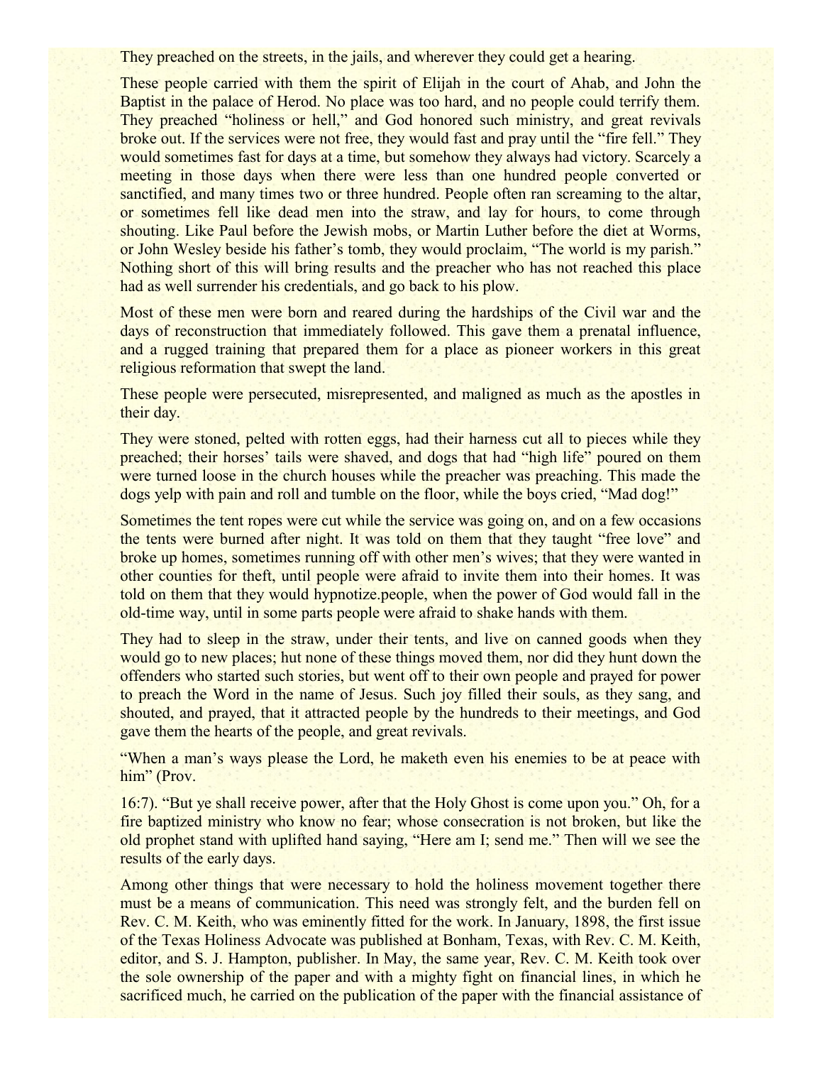They preached on the streets, in the jails, and wherever they could get a hearing.

These people carried with them the spirit of Elijah in the court of Ahab, and John the Baptist in the palace of Herod. No place was too hard, and no people could terrify them. They preached "holiness or hell," and God honored such ministry, and great revivals broke out. If the services were not free, they would fast and pray until the "fire fell." They would sometimes fast for days at a time, but somehow they always had victory. Scarcely a meeting in those days when there were less than one hundred people converted or sanctified, and many times two or three hundred. People often ran screaming to the altar, or sometimes fell like dead men into the straw, and lay for hours, to come through shouting. Like Paul before the Jewish mobs, or Martin Luther before the diet at Worms, or John Wesley beside his father's tomb, they would proclaim, "The world is my parish." Nothing short of this will bring results and the preacher who has not reached this place had as well surrender his credentials, and go back to his plow.

Most of these men were born and reared during the hardships of the Civil war and the days of reconstruction that immediately followed. This gave them a prenatal influence, and a rugged training that prepared them for a place as pioneer workers in this great religious reformation that swept the land.

These people were persecuted, misrepresented, and maligned as much as the apostles in their day.

They were stoned, pelted with rotten eggs, had their harness cut all to pieces while they preached; their horses' tails were shaved, and dogs that had "high life" poured on them were turned loose in the church houses while the preacher was preaching. This made the dogs yelp with pain and roll and tumble on the floor, while the boys cried, "Mad dog!"

Sometimes the tent ropes were cut while the service was going on, and on a few occasions the tents were burned after night. It was told on them that they taught "free love" and broke up homes, sometimes running off with other men's wives; that they were wanted in other counties for theft, until people were afraid to invite them into their homes. It was told on them that they would hypnotize.people, when the power of God would fall in the old-time way, until in some parts people were afraid to shake hands with them.

They had to sleep in the straw, under their tents, and live on canned goods when they would go to new places; hut none of these things moved them, nor did they hunt down the offenders who started such stories, but went off to their own people and prayed for power to preach the Word in the name of Jesus. Such joy filled their souls, as they sang, and shouted, and prayed, that it attracted people by the hundreds to their meetings, and God gave them the hearts of the people, and great revivals.

"When a man's ways please the Lord, he maketh even his enemies to be at peace with him" (Prov.

16:7). "But ye shall receive power, after that the Holy Ghost is come upon you." Oh, for a fire baptized ministry who know no fear; whose consecration is not broken, but like the old prophet stand with uplifted hand saying, "Here am I; send me." Then will we see the results of the early days.

Among other things that were necessary to hold the holiness movement together there must be a means of communication. This need was strongly felt, and the burden fell on Rev. C. M. Keith, who was eminently fitted for the work. In January, 1898, the first issue of the Texas Holiness Advocate was published at Bonham, Texas, with Rev. C. M. Keith, editor, and S. J. Hampton, publisher. In May, the same year, Rev. C. M. Keith took over the sole ownership of the paper and with a mighty fight on financial lines, in which he sacrificed much, he carried on the publication of the paper with the financial assistance of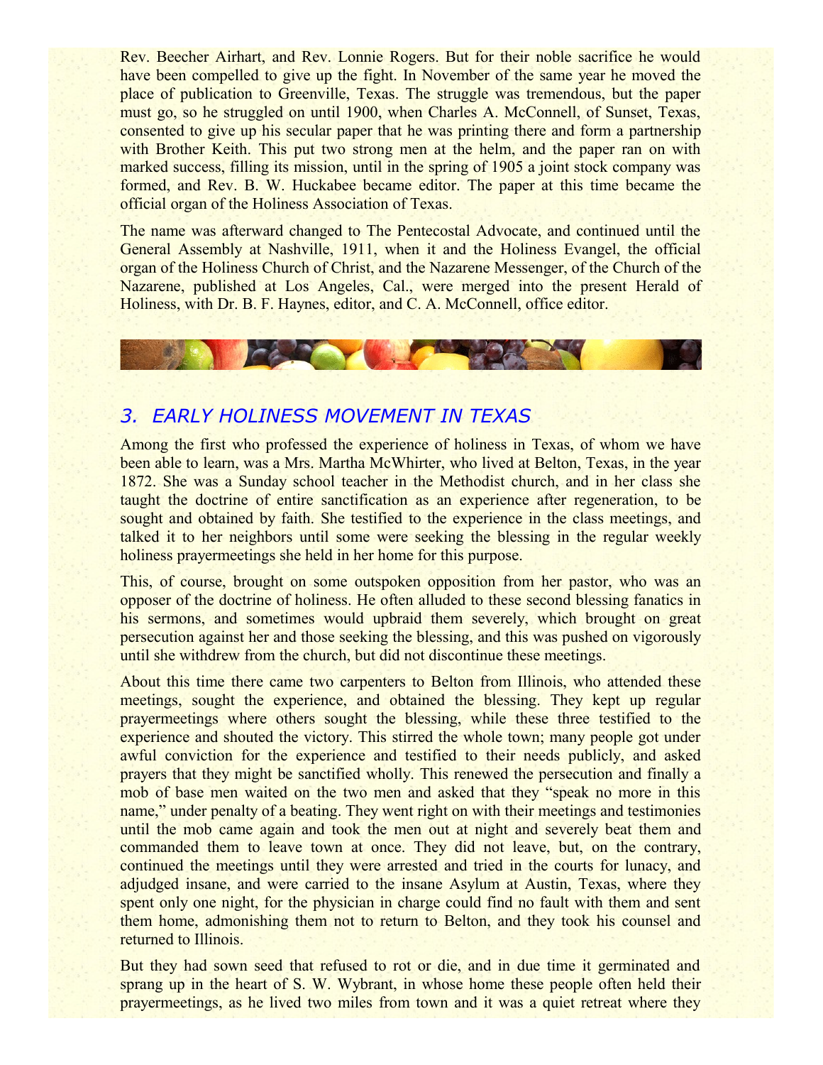Rev. Beecher Airhart, and Rev. Lonnie Rogers. But for their noble sacrifice he would have been compelled to give up the fight. In November of the same year he moved the place of publication to Greenville, Texas. The struggle was tremendous, but the paper must go, so he struggled on until 1900, when Charles A. McConnell, of Sunset, Texas, consented to give up his secular paper that he was printing there and form a partnership with Brother Keith. This put two strong men at the helm, and the paper ran on with marked success, filling its mission, until in the spring of 1905 a joint stock company was formed, and Rev. B. W. Huckabee became editor. The paper at this time became the official organ of the Holiness Association of Texas.

The name was afterward changed to The Pentecostal Advocate, and continued until the General Assembly at Nashville, 1911, when it and the Holiness Evangel, the official organ of the Holiness Church of Christ, and the Nazarene Messenger, of the Church of the Nazarene, published at Los Angeles, Cal., were merged into the present Herald of Holiness, with Dr. B. F. Haynes, editor, and C. A. McConnell, office editor.



## *3. EARLY HOLINESS MOVEMENT IN TEXAS*

Among the first who professed the experience of holiness in Texas, of whom we have been able to learn, was a Mrs. Martha McWhirter, who lived at Belton, Texas, in the year 1872. She was a Sunday school teacher in the Methodist church, and in her class she taught the doctrine of entire sanctification as an experience after regeneration, to be sought and obtained by faith. She testified to the experience in the class meetings, and talked it to her neighbors until some were seeking the blessing in the regular weekly holiness prayermeetings she held in her home for this purpose.

This, of course, brought on some outspoken opposition from her pastor, who was an opposer of the doctrine of holiness. He often alluded to these second blessing fanatics in his sermons, and sometimes would upbraid them severely, which brought on great persecution against her and those seeking the blessing, and this was pushed on vigorously until she withdrew from the church, but did not discontinue these meetings.

About this time there came two carpenters to Belton from Illinois, who attended these meetings, sought the experience, and obtained the blessing. They kept up regular prayermeetings where others sought the blessing, while these three testified to the experience and shouted the victory. This stirred the whole town; many people got under awful conviction for the experience and testified to their needs publicly, and asked prayers that they might be sanctified wholly. This renewed the persecution and finally a mob of base men waited on the two men and asked that they "speak no more in this name," under penalty of a beating. They went right on with their meetings and testimonies until the mob came again and took the men out at night and severely beat them and commanded them to leave town at once. They did not leave, but, on the contrary, continued the meetings until they were arrested and tried in the courts for lunacy, and adjudged insane, and were carried to the insane Asylum at Austin, Texas, where they spent only one night, for the physician in charge could find no fault with them and sent them home, admonishing them not to return to Belton, and they took his counsel and returned to Illinois.

But they had sown seed that refused to rot or die, and in due time it germinated and sprang up in the heart of S. W. Wybrant, in whose home these people often held their prayermeetings, as he lived two miles from town and it was a quiet retreat where they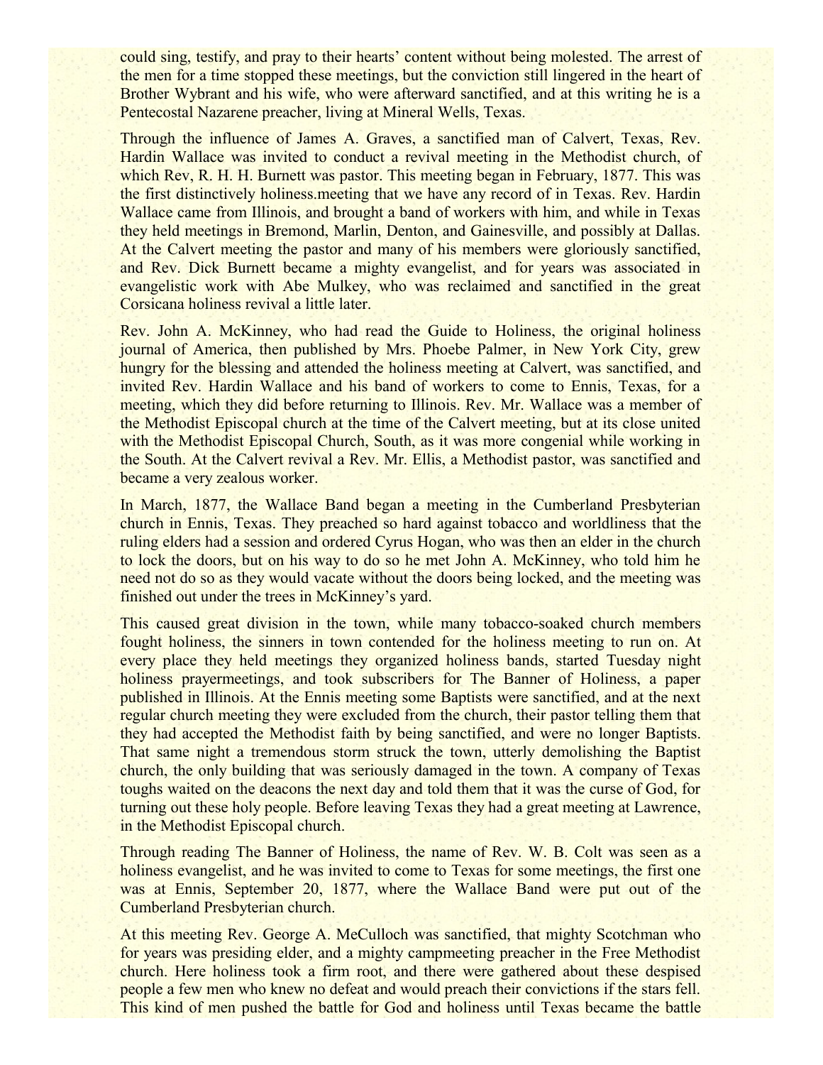could sing, testify, and pray to their hearts' content without being molested. The arrest of the men for a time stopped these meetings, but the conviction still lingered in the heart of Brother Wybrant and his wife, who were afterward sanctified, and at this writing he is a Pentecostal Nazarene preacher, living at Mineral Wells, Texas.

Through the influence of James A. Graves, a sanctified man of Calvert, Texas, Rev. Hardin Wallace was invited to conduct a revival meeting in the Methodist church, of which Rev, R. H. H. Burnett was pastor. This meeting began in February, 1877. This was the first distinctively holiness.meeting that we have any record of in Texas. Rev. Hardin Wallace came from Illinois, and brought a band of workers with him, and while in Texas they held meetings in Bremond, Marlin, Denton, and Gainesville, and possibly at Dallas. At the Calvert meeting the pastor and many of his members were gloriously sanctified, and Rev. Dick Burnett became a mighty evangelist, and for years was associated in evangelistic work with Abe Mulkey, who was reclaimed and sanctified in the great Corsicana holiness revival a little later.

Rev. John A. McKinney, who had read the Guide to Holiness, the original holiness journal of America, then published by Mrs. Phoebe Palmer, in New York City, grew hungry for the blessing and attended the holiness meeting at Calvert, was sanctified, and invited Rev. Hardin Wallace and his band of workers to come to Ennis, Texas, for a meeting, which they did before returning to Illinois. Rev. Mr. Wallace was a member of the Methodist Episcopal church at the time of the Calvert meeting, but at its close united with the Methodist Episcopal Church, South, as it was more congenial while working in the South. At the Calvert revival a Rev. Mr. Ellis, a Methodist pastor, was sanctified and became a very zealous worker.

In March, 1877, the Wallace Band began a meeting in the Cumberland Presbyterian church in Ennis, Texas. They preached so hard against tobacco and worldliness that the ruling elders had a session and ordered Cyrus Hogan, who was then an elder in the church to lock the doors, but on his way to do so he met John A. McKinney, who told him he need not do so as they would vacate without the doors being locked, and the meeting was finished out under the trees in McKinney's yard.

This caused great division in the town, while many tobacco-soaked church members fought holiness, the sinners in town contended for the holiness meeting to run on. At every place they held meetings they organized holiness bands, started Tuesday night holiness prayermeetings, and took subscribers for The Banner of Holiness, a paper published in Illinois. At the Ennis meeting some Baptists were sanctified, and at the next regular church meeting they were excluded from the church, their pastor telling them that they had accepted the Methodist faith by being sanctified, and were no longer Baptists. That same night a tremendous storm struck the town, utterly demolishing the Baptist church, the only building that was seriously damaged in the town. A company of Texas toughs waited on the deacons the next day and told them that it was the curse of God, for turning out these holy people. Before leaving Texas they had a great meeting at Lawrence, in the Methodist Episcopal church.

Through reading The Banner of Holiness, the name of Rev. W. B. Colt was seen as a holiness evangelist, and he was invited to come to Texas for some meetings, the first one was at Ennis, September 20, 1877, where the Wallace Band were put out of the Cumberland Presbyterian church.

At this meeting Rev. George A. MeCulloch was sanctified, that mighty Scotchman who for years was presiding elder, and a mighty campmeeting preacher in the Free Methodist church. Here holiness took a firm root, and there were gathered about these despised people a few men who knew no defeat and would preach their convictions if the stars fell. This kind of men pushed the battle for God and holiness until Texas became the battle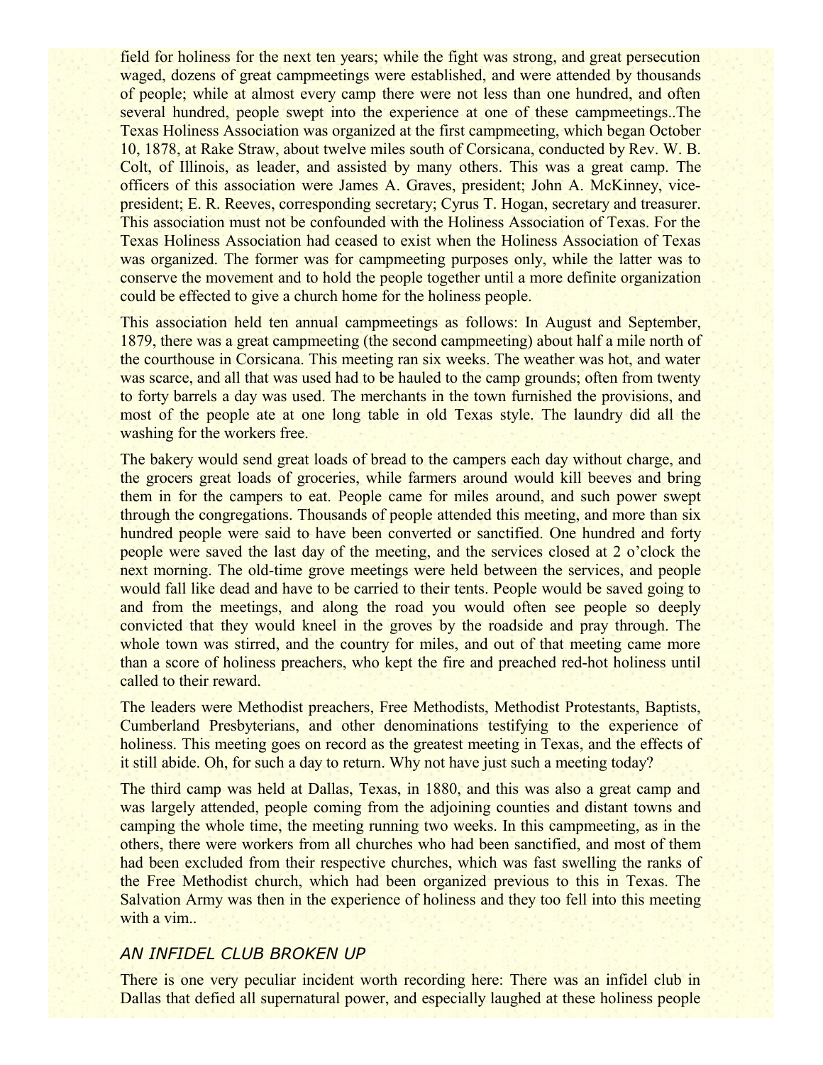field for holiness for the next ten years; while the fight was strong, and great persecution waged, dozens of great campmeetings were established, and were attended by thousands of people; while at almost every camp there were not less than one hundred, and often several hundred, people swept into the experience at one of these campmeetings..The Texas Holiness Association was organized at the first campmeeting, which began October 10, 1878, at Rake Straw, about twelve miles south of Corsicana, conducted by Rev. W. B. Colt, of Illinois, as leader, and assisted by many others. This was a great camp. The officers of this association were James A. Graves, president; John A. McKinney, vicepresident; E. R. Reeves, corresponding secretary; Cyrus T. Hogan, secretary and treasurer. This association must not be confounded with the Holiness Association of Texas. For the Texas Holiness Association had ceased to exist when the Holiness Association of Texas was organized. The former was for campmeeting purposes only, while the latter was to conserve the movement and to hold the people together until a more definite organization could be effected to give a church home for the holiness people.

This association held ten annual campmeetings as follows: In August and September, 1879, there was a great campmeeting (the second campmeeting) about half a mile north of the courthouse in Corsicana. This meeting ran six weeks. The weather was hot, and water was scarce, and all that was used had to be hauled to the camp grounds; often from twenty to forty barrels a day was used. The merchants in the town furnished the provisions, and most of the people ate at one long table in old Texas style. The laundry did all the washing for the workers free.

The bakery would send great loads of bread to the campers each day without charge, and the grocers great loads of groceries, while farmers around would kill beeves and bring them in for the campers to eat. People came for miles around, and such power swept through the congregations. Thousands of people attended this meeting, and more than six hundred people were said to have been converted or sanctified. One hundred and forty people were saved the last day of the meeting, and the services closed at 2 o'clock the next morning. The old-time grove meetings were held between the services, and people would fall like dead and have to be carried to their tents. People would be saved going to and from the meetings, and along the road you would often see people so deeply convicted that they would kneel in the groves by the roadside and pray through. The whole town was stirred, and the country for miles, and out of that meeting came more than a score of holiness preachers, who kept the fire and preached red-hot holiness until called to their reward.

The leaders were Methodist preachers, Free Methodists, Methodist Protestants, Baptists, Cumberland Presbyterians, and other denominations testifying to the experience of holiness. This meeting goes on record as the greatest meeting in Texas, and the effects of it still abide. Oh, for such a day to return. Why not have just such a meeting today?

The third camp was held at Dallas, Texas, in 1880, and this was also a great camp and was largely attended, people coming from the adjoining counties and distant towns and camping the whole time, the meeting running two weeks. In this campmeeting, as in the others, there were workers from all churches who had been sanctified, and most of them had been excluded from their respective churches, which was fast swelling the ranks of the Free Methodist church, which had been organized previous to this in Texas. The Salvation Army was then in the experience of holiness and they too fell into this meeting with a vim..

#### *AN INFIDEL CLUB BROKEN UP*

There is one very peculiar incident worth recording here: There was an infidel club in Dallas that defied all supernatural power, and especially laughed at these holiness people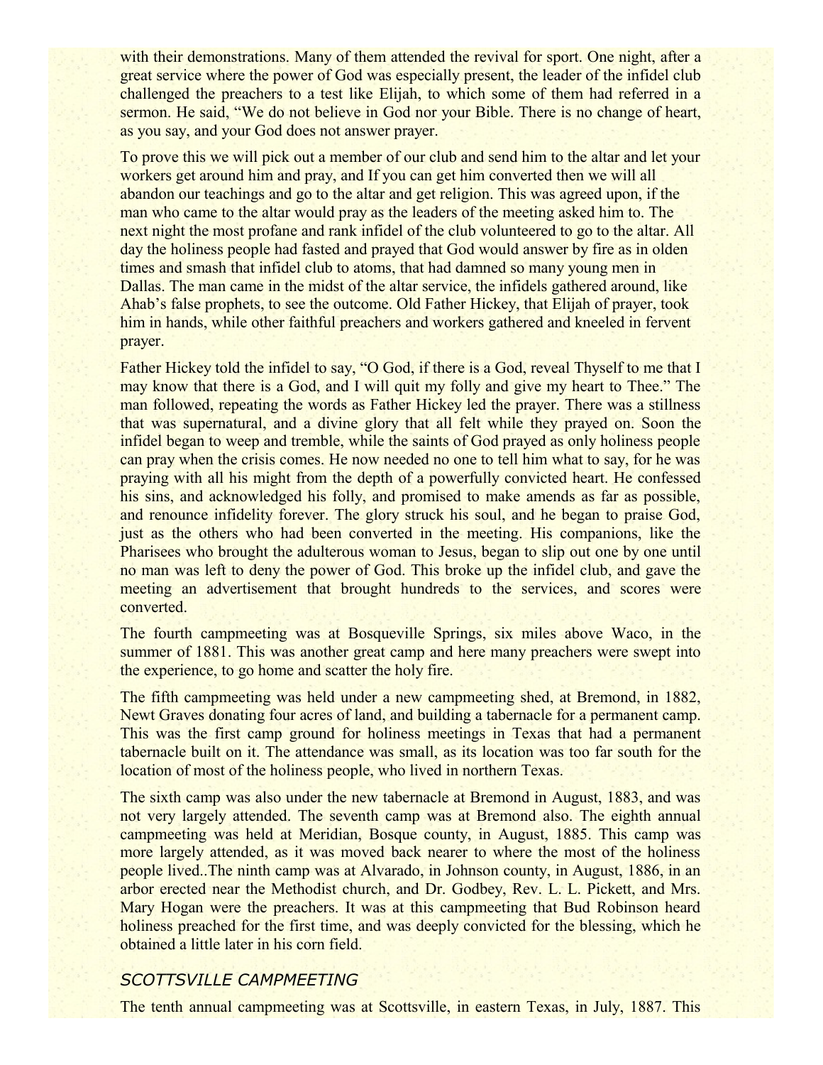with their demonstrations. Many of them attended the revival for sport. One night, after a great service where the power of God was especially present, the leader of the infidel club challenged the preachers to a test like Elijah, to which some of them had referred in a sermon. He said, "We do not believe in God nor your Bible. There is no change of heart, as you say, and your God does not answer prayer.

To prove this we will pick out a member of our club and send him to the altar and let your workers get around him and pray, and If you can get him converted then we will all abandon our teachings and go to the altar and get religion. This was agreed upon, if the man who came to the altar would pray as the leaders of the meeting asked him to. The next night the most profane and rank infidel of the club volunteered to go to the altar. All day the holiness people had fasted and prayed that God would answer by fire as in olden times and smash that infidel club to atoms, that had damned so many young men in Dallas. The man came in the midst of the altar service, the infidels gathered around, like Ahab's false prophets, to see the outcome. Old Father Hickey, that Elijah of prayer, took him in hands, while other faithful preachers and workers gathered and kneeled in fervent prayer.

Father Hickey told the infidel to say, "O God, if there is a God, reveal Thyself to me that I may know that there is a God, and I will quit my folly and give my heart to Thee." The man followed, repeating the words as Father Hickey led the prayer. There was a stillness that was supernatural, and a divine glory that all felt while they prayed on. Soon the infidel began to weep and tremble, while the saints of God prayed as only holiness people can pray when the crisis comes. He now needed no one to tell him what to say, for he was praying with all his might from the depth of a powerfully convicted heart. He confessed his sins, and acknowledged his folly, and promised to make amends as far as possible, and renounce infidelity forever. The glory struck his soul, and he began to praise God, just as the others who had been converted in the meeting. His companions, like the Pharisees who brought the adulterous woman to Jesus, began to slip out one by one until no man was left to deny the power of God. This broke up the infidel club, and gave the meeting an advertisement that brought hundreds to the services, and scores were converted.

The fourth campmeeting was at Bosqueville Springs, six miles above Waco, in the summer of 1881. This was another great camp and here many preachers were swept into the experience, to go home and scatter the holy fire.

The fifth campmeeting was held under a new campmeeting shed, at Bremond, in 1882, Newt Graves donating four acres of land, and building a tabernacle for a permanent camp. This was the first camp ground for holiness meetings in Texas that had a permanent tabernacle built on it. The attendance was small, as its location was too far south for the location of most of the holiness people, who lived in northern Texas.

The sixth camp was also under the new tabernacle at Bremond in August, 1883, and was not very largely attended. The seventh camp was at Bremond also. The eighth annual campmeeting was held at Meridian, Bosque county, in August, 1885. This camp was more largely attended, as it was moved back nearer to where the most of the holiness people lived..The ninth camp was at Alvarado, in Johnson county, in August, 1886, in an arbor erected near the Methodist church, and Dr. Godbey, Rev. L. L. Pickett, and Mrs. Mary Hogan were the preachers. It was at this campmeeting that Bud Robinson heard holiness preached for the first time, and was deeply convicted for the blessing, which he obtained a little later in his corn field.

### *SCOTTSVILLE CAMPMEETING*

The tenth annual campmeeting was at Scottsville, in eastern Texas, in July, 1887. This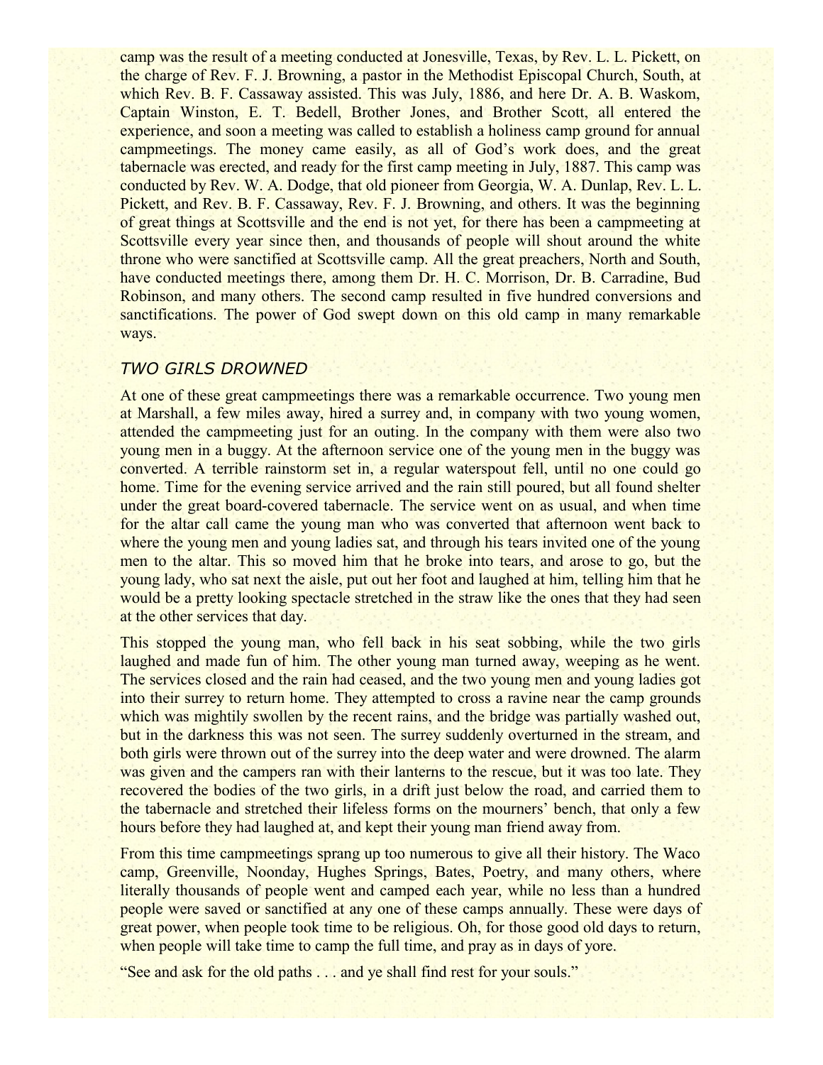camp was the result of a meeting conducted at Jonesville, Texas, by Rev. L. L. Pickett, on the charge of Rev. F. J. Browning, a pastor in the Methodist Episcopal Church, South, at which Rev. B. F. Cassaway assisted. This was July, 1886, and here Dr. A. B. Waskom, Captain Winston, E. T. Bedell, Brother Jones, and Brother Scott, all entered the experience, and soon a meeting was called to establish a holiness camp ground for annual campmeetings. The money came easily, as all of God's work does, and the great tabernacle was erected, and ready for the first camp meeting in July, 1887. This camp was conducted by Rev. W. A. Dodge, that old pioneer from Georgia, W. A. Dunlap, Rev. L. L. Pickett, and Rev. B. F. Cassaway, Rev. F. J. Browning, and others. It was the beginning of great things at Scottsville and the end is not yet, for there has been a campmeeting at Scottsville every year since then, and thousands of people will shout around the white throne who were sanctified at Scottsville camp. All the great preachers, North and South, have conducted meetings there, among them Dr. H. C. Morrison, Dr. B. Carradine, Bud Robinson, and many others. The second camp resulted in five hundred conversions and sanctifications. The power of God swept down on this old camp in many remarkable ways.

#### *TWO GIRLS DROWNED*

At one of these great campmeetings there was a remarkable occurrence. Two young men at Marshall, a few miles away, hired a surrey and, in company with two young women, attended the campmeeting just for an outing. In the company with them were also two young men in a buggy. At the afternoon service one of the young men in the buggy was converted. A terrible rainstorm set in, a regular waterspout fell, until no one could go home. Time for the evening service arrived and the rain still poured, but all found shelter under the great board-covered tabernacle. The service went on as usual, and when time for the altar call came the young man who was converted that afternoon went back to where the young men and young ladies sat, and through his tears invited one of the young men to the altar. This so moved him that he broke into tears, and arose to go, but the young lady, who sat next the aisle, put out her foot and laughed at him, telling him that he would be a pretty looking spectacle stretched in the straw like the ones that they had seen at the other services that day.

This stopped the young man, who fell back in his seat sobbing, while the two girls laughed and made fun of him. The other young man turned away, weeping as he went. The services closed and the rain had ceased, and the two young men and young ladies got into their surrey to return home. They attempted to cross a ravine near the camp grounds which was mightily swollen by the recent rains, and the bridge was partially washed out, but in the darkness this was not seen. The surrey suddenly overturned in the stream, and both girls were thrown out of the surrey into the deep water and were drowned. The alarm was given and the campers ran with their lanterns to the rescue, but it was too late. They recovered the bodies of the two girls, in a drift just below the road, and carried them to the tabernacle and stretched their lifeless forms on the mourners' bench, that only a few hours before they had laughed at, and kept their young man friend away from.

From this time campmeetings sprang up too numerous to give all their history. The Waco camp, Greenville, Noonday, Hughes Springs, Bates, Poetry, and many others, where literally thousands of people went and camped each year, while no less than a hundred people were saved or sanctified at any one of these camps annually. These were days of great power, when people took time to be religious. Oh, for those good old days to return, when people will take time to camp the full time, and pray as in days of yore.

"See and ask for the old paths . . . and ye shall find rest for your souls."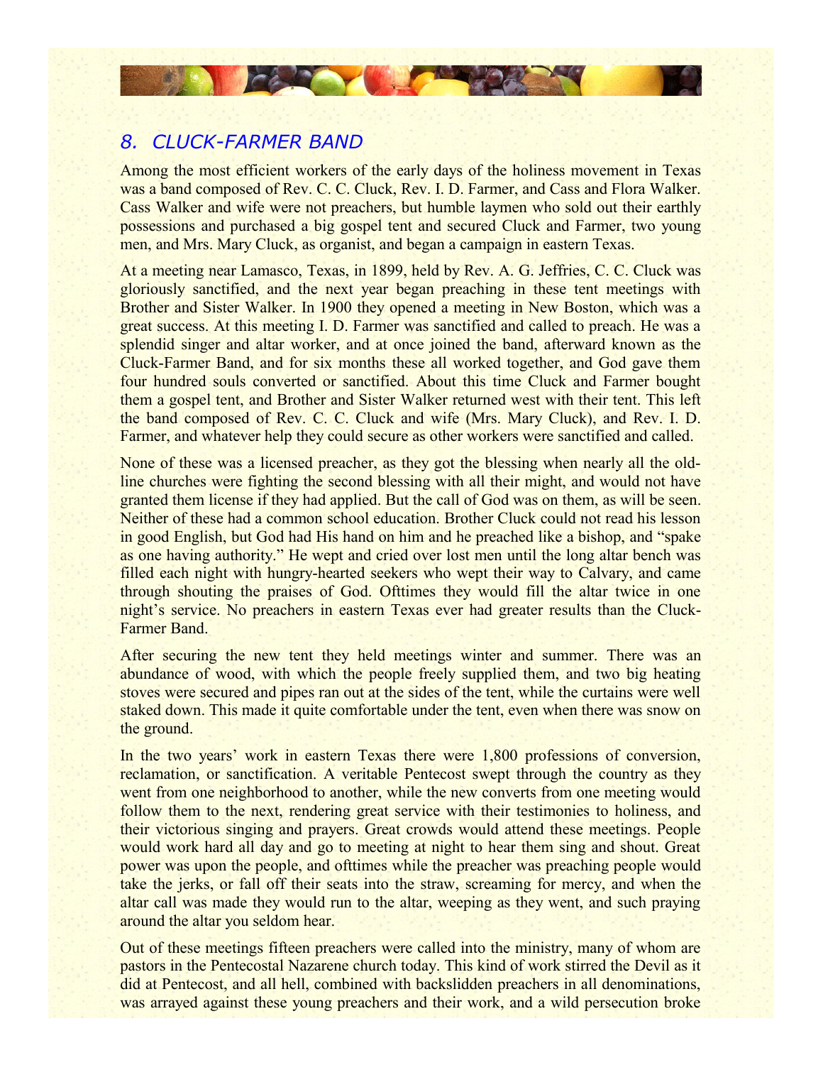

**AND THE REAL PROPERTY** 

Among the most efficient workers of the early days of the holiness movement in Texas was a band composed of Rev. C. C. Cluck, Rev. I. D. Farmer, and Cass and Flora Walker. Cass Walker and wife were not preachers, but humble laymen who sold out their earthly possessions and purchased a big gospel tent and secured Cluck and Farmer, two young men, and Mrs. Mary Cluck, as organist, and began a campaign in eastern Texas.

At a meeting near Lamasco, Texas, in 1899, held by Rev. A. G. Jeffries, C. C. Cluck was gloriously sanctified, and the next year began preaching in these tent meetings with Brother and Sister Walker. In 1900 they opened a meeting in New Boston, which was a great success. At this meeting I. D. Farmer was sanctified and called to preach. He was a splendid singer and altar worker, and at once joined the band, afterward known as the Cluck-Farmer Band, and for six months these all worked together, and God gave them four hundred souls converted or sanctified. About this time Cluck and Farmer bought them a gospel tent, and Brother and Sister Walker returned west with their tent. This left the band composed of Rev. C. C. Cluck and wife (Mrs. Mary Cluck), and Rev. I. D. Farmer, and whatever help they could secure as other workers were sanctified and called.

None of these was a licensed preacher, as they got the blessing when nearly all the oldline churches were fighting the second blessing with all their might, and would not have granted them license if they had applied. But the call of God was on them, as will be seen. Neither of these had a common school education. Brother Cluck could not read his lesson in good English, but God had His hand on him and he preached like a bishop, and "spake as one having authority." He wept and cried over lost men until the long altar bench was filled each night with hungry-hearted seekers who wept their way to Calvary, and came through shouting the praises of God. Ofttimes they would fill the altar twice in one night's service. No preachers in eastern Texas ever had greater results than the Cluck-Farmer Band.

After securing the new tent they held meetings winter and summer. There was an abundance of wood, with which the people freely supplied them, and two big heating stoves were secured and pipes ran out at the sides of the tent, while the curtains were well staked down. This made it quite comfortable under the tent, even when there was snow on the ground.

In the two years' work in eastern Texas there were 1,800 professions of conversion, reclamation, or sanctification. A veritable Pentecost swept through the country as they went from one neighborhood to another, while the new converts from one meeting would follow them to the next, rendering great service with their testimonies to holiness, and their victorious singing and prayers. Great crowds would attend these meetings. People would work hard all day and go to meeting at night to hear them sing and shout. Great power was upon the people, and ofttimes while the preacher was preaching people would take the jerks, or fall off their seats into the straw, screaming for mercy, and when the altar call was made they would run to the altar, weeping as they went, and such praying around the altar you seldom hear.

Out of these meetings fifteen preachers were called into the ministry, many of whom are pastors in the Pentecostal Nazarene church today. This kind of work stirred the Devil as it did at Pentecost, and all hell, combined with backslidden preachers in all denominations, was arrayed against these young preachers and their work, and a wild persecution broke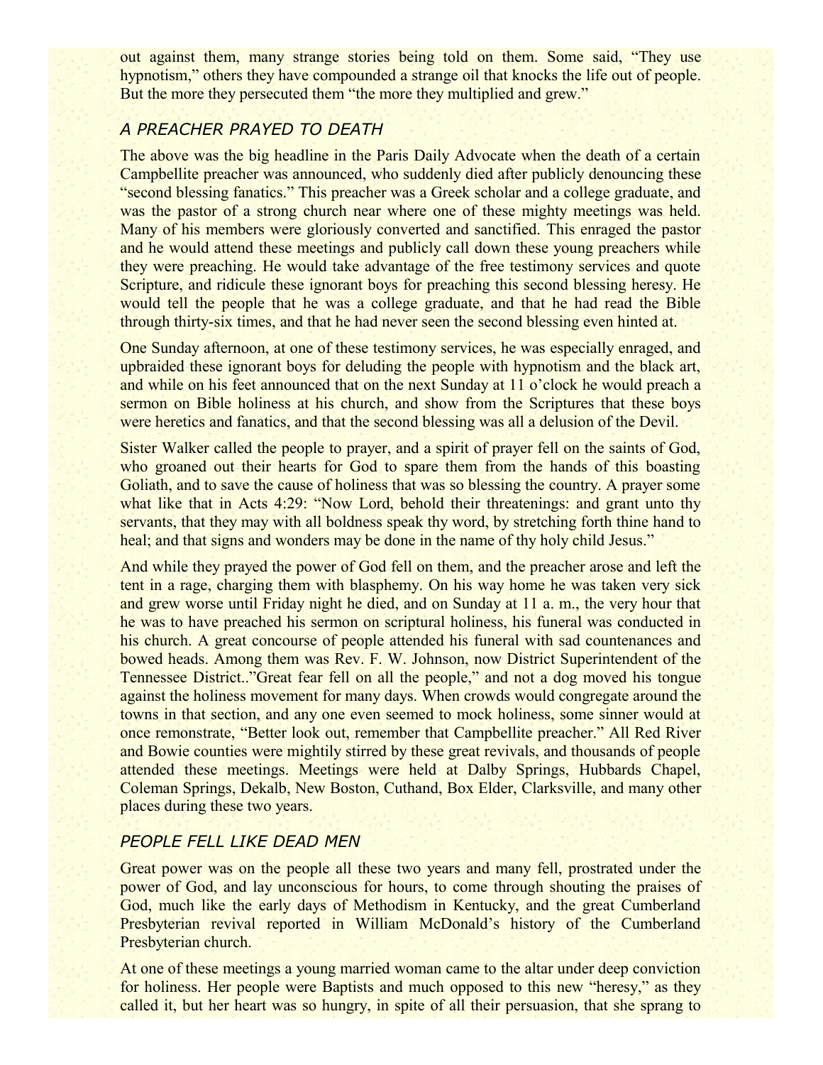out against them, many strange stories being told on them. Some said, "They use hypnotism," others they have compounded a strange oil that knocks the life out of people. But the more they persecuted them "the more they multiplied and grew."

### *A PREACHER PRAYED TO DEATH*

The above was the big headline in the Paris Daily Advocate when the death of a certain Campbellite preacher was announced, who suddenly died after publicly denouncing these "second blessing fanatics." This preacher was a Greek scholar and a college graduate, and was the pastor of a strong church near where one of these mighty meetings was held. Many of his members were gloriously converted and sanctified. This enraged the pastor and he would attend these meetings and publicly call down these young preachers while they were preaching. He would take advantage of the free testimony services and quote Scripture, and ridicule these ignorant boys for preaching this second blessing heresy. He would tell the people that he was a college graduate, and that he had read the Bible through thirty-six times, and that he had never seen the second blessing even hinted at.

One Sunday afternoon, at one of these testimony services, he was especially enraged, and upbraided these ignorant boys for deluding the people with hypnotism and the black art, and while on his feet announced that on the next Sunday at 11 o'clock he would preach a sermon on Bible holiness at his church, and show from the Scriptures that these boys were heretics and fanatics, and that the second blessing was all a delusion of the Devil.

Sister Walker called the people to prayer, and a spirit of prayer fell on the saints of God, who groaned out their hearts for God to spare them from the hands of this boasting Goliath, and to save the cause of holiness that was so blessing the country. A prayer some what like that in Acts 4:29: "Now Lord, behold their threatenings: and grant unto thy servants, that they may with all boldness speak thy word, by stretching forth thine hand to heal; and that signs and wonders may be done in the name of thy holy child Jesus."

And while they prayed the power of God fell on them, and the preacher arose and left the tent in a rage, charging them with blasphemy. On his way home he was taken very sick and grew worse until Friday night he died, and on Sunday at 11 a. m., the very hour that he was to have preached his sermon on scriptural holiness, his funeral was conducted in his church. A great concourse of people attended his funeral with sad countenances and bowed heads. Among them was Rev. F. W. Johnson, now District Superintendent of the Tennessee District.."Great fear fell on all the people," and not a dog moved his tongue against the holiness movement for many days. When crowds would congregate around the towns in that section, and any one even seemed to mock holiness, some sinner would at once remonstrate, "Better look out, remember that Campbellite preacher." All Red River and Bowie counties were mightily stirred by these great revivals, and thousands of people attended these meetings. Meetings were held at Dalby Springs, Hubbards Chapel, Coleman Springs, Dekalb, New Boston, Cuthand, Box Elder, Clarksville, and many other places during these two years.

### *PEOPLE FELL LIKE DEAD MEN*

Great power was on the people all these two years and many fell, prostrated under the power of God, and lay unconscious for hours, to come through shouting the praises of God, much like the early days of Methodism in Kentucky, and the great Cumberland Presbyterian revival reported in William McDonald's history of the Cumberland Presbyterian church.

At one of these meetings a young married woman came to the altar under deep conviction for holiness. Her people were Baptists and much opposed to this new "heresy," as they called it, but her heart was so hungry, in spite of all their persuasion, that she sprang to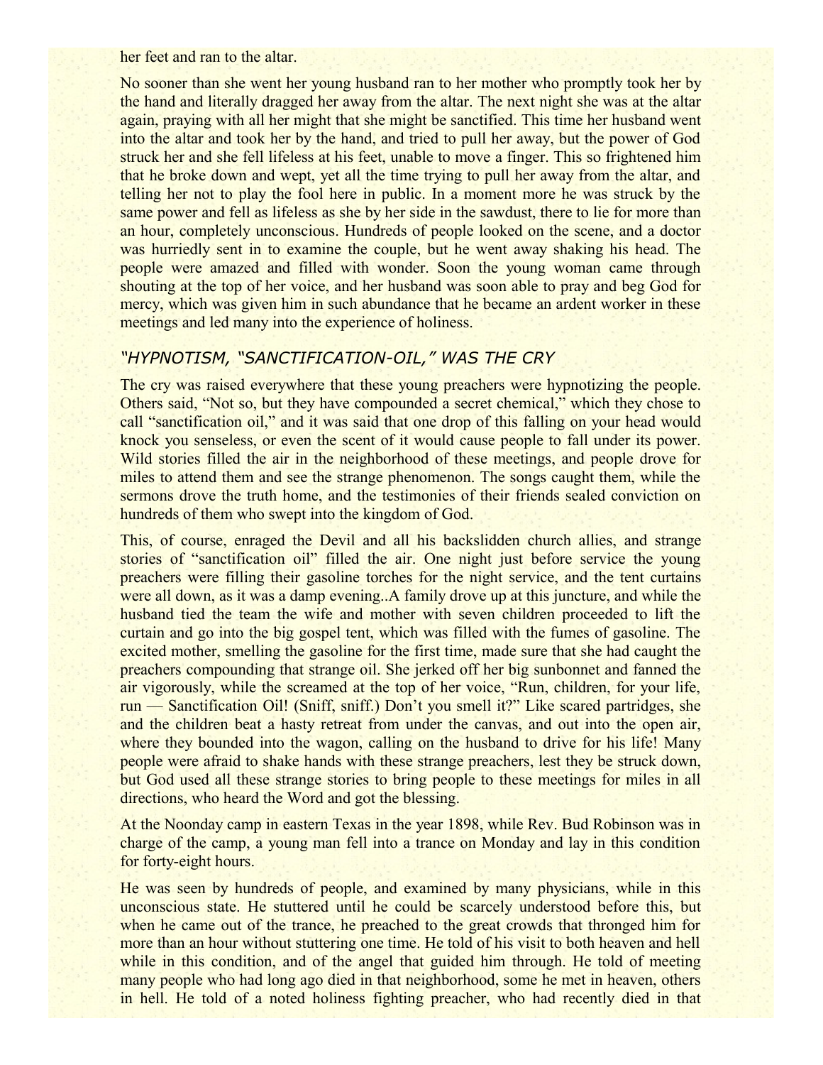her feet and ran to the altar.

No sooner than she went her young husband ran to her mother who promptly took her by the hand and literally dragged her away from the altar. The next night she was at the altar again, praying with all her might that she might be sanctified. This time her husband went into the altar and took her by the hand, and tried to pull her away, but the power of God struck her and she fell lifeless at his feet, unable to move a finger. This so frightened him that he broke down and wept, yet all the time trying to pull her away from the altar, and telling her not to play the fool here in public. In a moment more he was struck by the same power and fell as lifeless as she by her side in the sawdust, there to lie for more than an hour, completely unconscious. Hundreds of people looked on the scene, and a doctor was hurriedly sent in to examine the couple, but he went away shaking his head. The people were amazed and filled with wonder. Soon the young woman came through shouting at the top of her voice, and her husband was soon able to pray and beg God for mercy, which was given him in such abundance that he became an ardent worker in these meetings and led many into the experience of holiness.

### *"HYPNOTISM, "SANCTIFICATION-OIL," WAS THE CRY*

The cry was raised everywhere that these young preachers were hypnotizing the people. Others said, "Not so, but they have compounded a secret chemical," which they chose to call "sanctification oil," and it was said that one drop of this falling on your head would knock you senseless, or even the scent of it would cause people to fall under its power. Wild stories filled the air in the neighborhood of these meetings, and people drove for miles to attend them and see the strange phenomenon. The songs caught them, while the sermons drove the truth home, and the testimonies of their friends sealed conviction on hundreds of them who swept into the kingdom of God.

This, of course, enraged the Devil and all his backslidden church allies, and strange stories of "sanctification oil" filled the air. One night just before service the young preachers were filling their gasoline torches for the night service, and the tent curtains were all down, as it was a damp evening..A family drove up at this juncture, and while the husband tied the team the wife and mother with seven children proceeded to lift the curtain and go into the big gospel tent, which was filled with the fumes of gasoline. The excited mother, smelling the gasoline for the first time, made sure that she had caught the preachers compounding that strange oil. She jerked off her big sunbonnet and fanned the air vigorously, while the screamed at the top of her voice, "Run, children, for your life, run — Sanctification Oil! (Sniff, sniff.) Don't you smell it?" Like scared partridges, she and the children beat a hasty retreat from under the canvas, and out into the open air, where they bounded into the wagon, calling on the husband to drive for his life! Many people were afraid to shake hands with these strange preachers, lest they be struck down, but God used all these strange stories to bring people to these meetings for miles in all directions, who heard the Word and got the blessing.

At the Noonday camp in eastern Texas in the year 1898, while Rev. Bud Robinson was in charge of the camp, a young man fell into a trance on Monday and lay in this condition for forty-eight hours.

He was seen by hundreds of people, and examined by many physicians, while in this unconscious state. He stuttered until he could be scarcely understood before this, but when he came out of the trance, he preached to the great crowds that thronged him for more than an hour without stuttering one time. He told of his visit to both heaven and hell while in this condition, and of the angel that guided him through. He told of meeting many people who had long ago died in that neighborhood, some he met in heaven, others in hell. He told of a noted holiness fighting preacher, who had recently died in that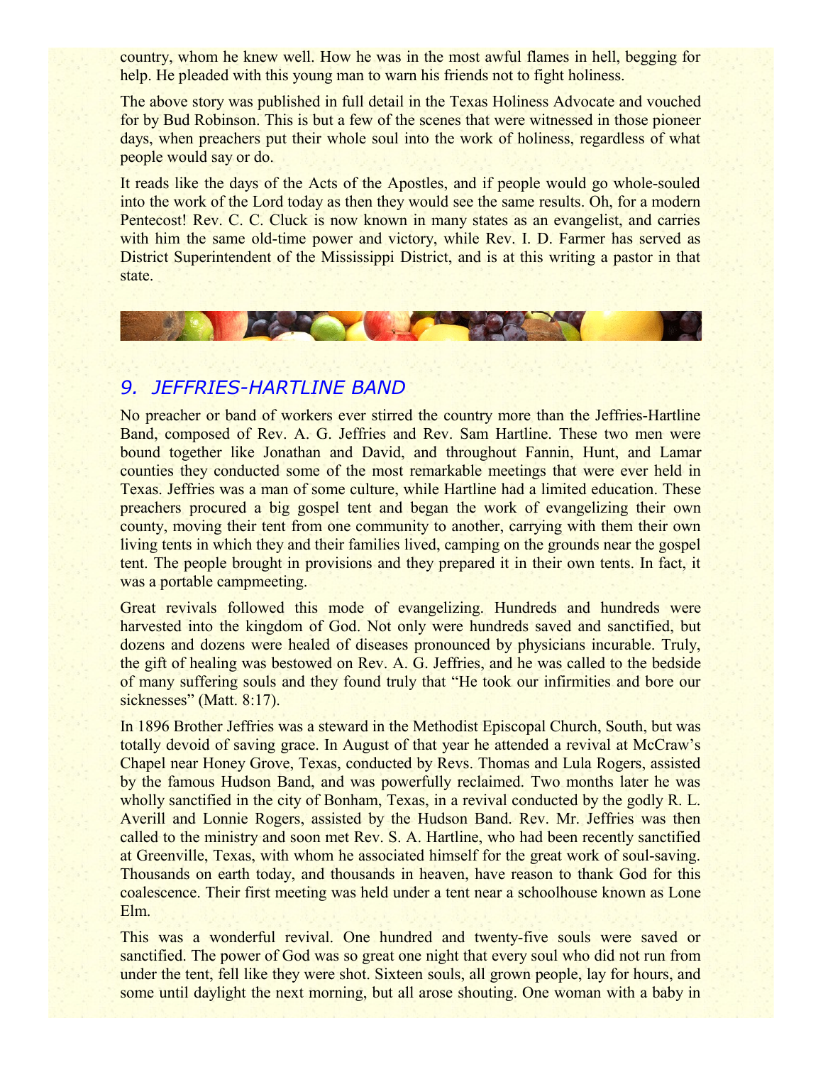country, whom he knew well. How he was in the most awful flames in hell, begging for help. He pleaded with this young man to warn his friends not to fight holiness.

The above story was published in full detail in the Texas Holiness Advocate and vouched for by Bud Robinson. This is but a few of the scenes that were witnessed in those pioneer days, when preachers put their whole soul into the work of holiness, regardless of what people would say or do.

It reads like the days of the Acts of the Apostles, and if people would go whole-souled into the work of the Lord today as then they would see the same results. Oh, for a modern Pentecost! Rev. C. C. Cluck is now known in many states as an evangelist, and carries with him the same old-time power and victory, while Rev. I. D. Farmer has served as District Superintendent of the Mississippi District, and is at this writing a pastor in that state.

## *9. JEFFRIES-HARTLINE BAND*

CAR THE

No preacher or band of workers ever stirred the country more than the Jeffries-Hartline Band, composed of Rev. A. G. Jeffries and Rev. Sam Hartline. These two men were bound together like Jonathan and David, and throughout Fannin, Hunt, and Lamar counties they conducted some of the most remarkable meetings that were ever held in Texas. Jeffries was a man of some culture, while Hartline had a limited education. These preachers procured a big gospel tent and began the work of evangelizing their own county, moving their tent from one community to another, carrying with them their own living tents in which they and their families lived, camping on the grounds near the gospel tent. The people brought in provisions and they prepared it in their own tents. In fact, it was a portable campmeeting.

Great revivals followed this mode of evangelizing. Hundreds and hundreds were harvested into the kingdom of God. Not only were hundreds saved and sanctified, but dozens and dozens were healed of diseases pronounced by physicians incurable. Truly, the gift of healing was bestowed on Rev. A. G. Jeffries, and he was called to the bedside of many suffering souls and they found truly that "He took our infirmities and bore our sicknesses" (Matt. 8:17).

In 1896 Brother Jeffries was a steward in the Methodist Episcopal Church, South, but was totally devoid of saving grace. In August of that year he attended a revival at McCraw's Chapel near Honey Grove, Texas, conducted by Revs. Thomas and Lula Rogers, assisted by the famous Hudson Band, and was powerfully reclaimed. Two months later he was wholly sanctified in the city of Bonham, Texas, in a revival conducted by the godly R. L. Averill and Lonnie Rogers, assisted by the Hudson Band. Rev. Mr. Jeffries was then called to the ministry and soon met Rev. S. A. Hartline, who had been recently sanctified at Greenville, Texas, with whom he associated himself for the great work of soul-saving. Thousands on earth today, and thousands in heaven, have reason to thank God for this coalescence. Their first meeting was held under a tent near a schoolhouse known as Lone Elm.

This was a wonderful revival. One hundred and twenty-five souls were saved or sanctified. The power of God was so great one night that every soul who did not run from under the tent, fell like they were shot. Sixteen souls, all grown people, lay for hours, and some until daylight the next morning, but all arose shouting. One woman with a baby in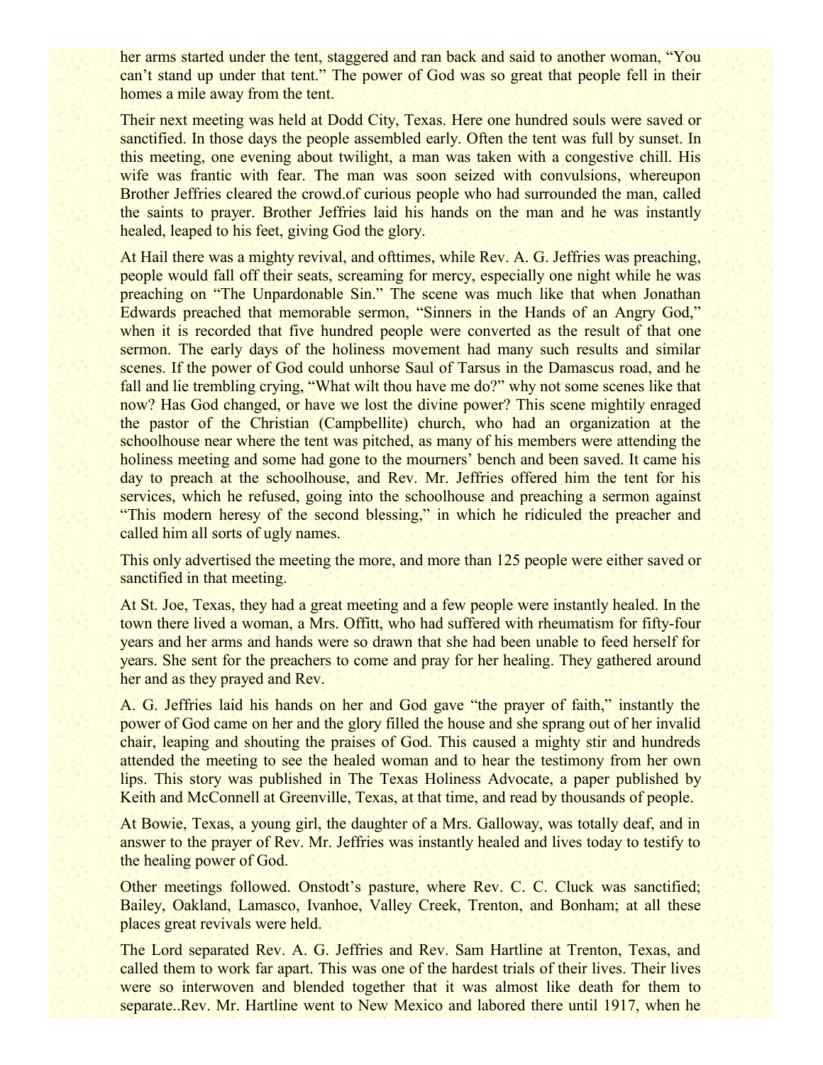her arms started under the tent, staggered and ran back and said to another woman, "You can't stand up under that tent." The power of God was so great that people fell in their homes a mile away from the tent.

Their next meeting was held at Dodd City, Texas. Here one hundred souls were saved or sanctified. In those days the people assembled early. Often the tent was full by sunset. In this meeting, one evening about twilight, a man was taken with a congestive chill. His wife was frantic with fear. The man was soon seized with convulsions, whereupon Brother Jeffries cleared the crowd.of curious people who had surrounded the man, called the saints to prayer. Brother Jeffries laid his hands on the man and he was instantly healed, leaped to his feet, giving God the glory.

At Hail there was a mighty revival, and ofttimes, while Rev. A. G. Jeffries was preaching, people would fall off their seats, screaming for mercy, especially one night while he was preaching on "The Unpardonable Sin." The scene was much like that when Jonathan Edwards preached that memorable sermon, "Sinners in the Hands of an Angry God," when it is recorded that five hundred people were converted as the result of that one sermon. The early days of the holiness movement had many such results and similar scenes. If the power of God could unhorse Saul of Tarsus in the Damascus road, and he fall and lie trembling crying, "What wilt thou have me do?" why not some scenes like that now? Has God changed, or have we lost the divine power? This scene mightily enraged the pastor of the Christian (Campbellite) church, who had an organization at the schoolhouse near where the tent was pitched, as many of his members were attending the holiness meeting and some had gone to the mourners' bench and been saved. It came his day to preach at the schoolhouse, and Rev. Mr. Jeffries offered him the tent for his services, which he refused, going into the schoolhouse and preaching a sermon against "This modern heresy of the second blessing," in which he ridiculed the preacher and called him all sorts of ugly names.

This only advertised the meeting the more, and more than 125 people were either saved or sanctified in that meeting.

At St. Joe, Texas, they had a great meeting and a few people were instantly healed. In the town there lived a woman, a Mrs. Offitt, who had suffered with rheumatism for fifty-four years and her arms and hands were so drawn that she had been unable to feed herself for years. She sent for the preachers to come and pray for her healing. They gathered around her and as they prayed and Rev.

A. G. Jeffries laid his hands on her and God gave "the prayer of faith," instantly the power of God came on her and the glory filled the house and she sprang out of her invalid chair, leaping and shouting the praises of God. This caused a mighty stir and hundreds attended the meeting to see the healed woman and to hear the testimony from her own lips. This story was published in The Texas Holiness Advocate, a paper published by Keith and McConnell at Greenville, Texas, at that time, and read by thousands of people.

At Bowie, Texas, a young girl, the daughter of a Mrs. Galloway, was totally deaf, and in answer to the prayer of Rev. Mr. Jeffries was instantly healed and lives today to testify to the healing power of God.

Other meetings followed. Onstodt's pasture, where Rev. C. C. Cluck was sanctified; Bailey, Oakland, Lamasco, Ivanhoe, Valley Creek, Trenton, and Bonham; at all these places great revivals were held.

The Lord separated Rev. A. G. Jeffries and Rev. Sam Hartline at Trenton, Texas, and called them to work far apart. This was one of the hardest trials of their lives. Their lives were so interwoven and blended together that it was almost like death for them to separate..Rev. Mr. Hartline went to New Mexico and labored there until 1917, when he